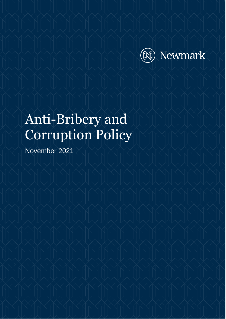

# Anti-Bribery and Corruption Policy

November 2021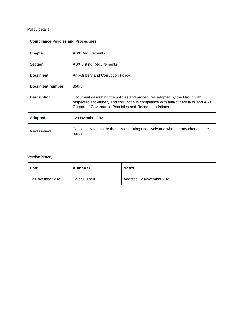#### Policy details

| <b>Compliance Policies and Procedures</b> |                                                                                                                                                                                                                          |  |  |
|-------------------------------------------|--------------------------------------------------------------------------------------------------------------------------------------------------------------------------------------------------------------------------|--|--|
| <b>Chapter</b>                            | <b>ASX Requirements</b>                                                                                                                                                                                                  |  |  |
| <b>Section</b>                            | <b>ASX Listing Requirements</b>                                                                                                                                                                                          |  |  |
| <b>Document</b>                           | Anti-Bribery and Corruption Policy                                                                                                                                                                                       |  |  |
| Document number                           | $350 - 6$                                                                                                                                                                                                                |  |  |
| <b>Description</b>                        | Document describing the policies and procedures adopted by the Group with<br>respect to anti-bribery and corruption in compliance with anti-bribery laws and ASX<br>Corporate Governance Principles and Recommendations. |  |  |
| <b>Adopted</b>                            | 12 November 2021                                                                                                                                                                                                         |  |  |
| <b>Next review</b>                        | Periodically to ensure that it is operating effectively and whether any changes are<br>required                                                                                                                          |  |  |

#### Version history

| <b>Date</b>      | Author(s)     | <b>Notes</b>             |
|------------------|---------------|--------------------------|
| 12 November 2021 | Peter Hulbert | Adopted 12 November 2021 |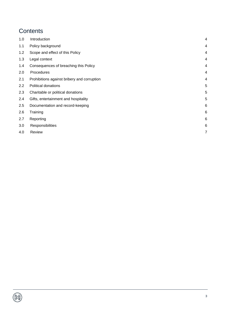# **Contents**

| 1.0 | Introduction                                | 4 |
|-----|---------------------------------------------|---|
| 1.1 | Policy background                           | 4 |
| 1.2 | Scope and effect of this Policy             | 4 |
| 1.3 | Legal context                               | 4 |
| 1.4 | Consequences of breaching this Policy       | 4 |
| 2.0 | Procedures                                  | 4 |
| 2.1 | Prohibitions against bribery and corruption | 4 |
| 2.2 | Political donations                         | 5 |
| 2.3 | Charitable or political donations           | 5 |
| 2.4 | Gifts, entertainment and hospitality        | 5 |
| 2.5 | Documentation and record-keeping            | 6 |
| 2.6 | Training                                    | 6 |
| 2.7 | Reporting                                   | 6 |
| 3.0 | Responsibilities                            | 6 |
| 4.0 | Review                                      | 7 |

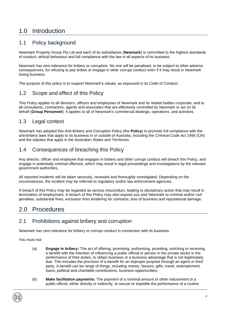# <span id="page-3-0"></span>1.0 Introduction

#### <span id="page-3-1"></span>1.1 Policy background

Newmark Property Group Pty Ltd and each of its subsidiaries (**Newmark**) is committed to the highest standards of conduct, ethical behaviour and full compliance with the law in all aspects of its business.

Newmark has zero tolerance for bribery or corruption. No one will be penalised, or be subject to other adverse consequences, for refusing to pay bribes or engage in other corrupt conduct even if it may result in Newmark losing business.

The purpose of this policy is to support Newmark's values, as espoused in its Code of Conduct.

### <span id="page-3-2"></span>1.2 Scope and effect of this Policy

This Policy applies to all directors, officers and employees of Newmark and its related bodies corporate, and to all consultants, contractors, agents and associates that are effectively controlled by Newmark or act on its behalf (**Group Personnel**). It applies to all of Newmark's commercial dealings, operations, and activities.

### <span id="page-3-3"></span>1.3 Legal context

Newmark has adopted this Anti-Bribery and Corruption Policy (the **Policy**) to promote full compliance with the anti-bribery laws that apply to its business in or outside of Australia, including the *Criminal Code Act 1995* (Cth) and the statutes that apply in the Australian States and Territories.

### <span id="page-3-4"></span>1.4 Consequences of breaching this Policy

Any director, officer and employee that engages in bribery and other corrupt conduct will breach this Policy, and engage in potentially criminal offences, which may result in legal proceedings and investigations by the relevant government authorities.

All reported incidents will be taken seriously, reviewed and thoroughly investigated. Depending on the circumstances, the incident may be referred to regulatory and/or law enforcement agencies.

A breach of this Policy may be regarded as serious misconduct, leading to disciplinary action that may result in termination of employment. A breach of this Policy may also expose you and Newmark to criminal and/or civil penalties, substantial fines, exclusion from tendering for contracts, loss of business and reputational damage.

# <span id="page-3-5"></span>2.0 Procedures

## <span id="page-3-6"></span>2.1 Prohibitions against bribery and corruption

Newmark has zero tolerance for bribery or corrupt conduct in connection with its business.

You must not:

- (a) **Engage in bribery:** The act of offering, promising, authorising, providing, soliciting or receiving a benefit with the intention of influencing a public official or person in the private sector in the performance of their duties, to obtain business or a business advantage that is not legitimately due. This includes the provision of a benefit for an improper purpose through an agent or third party. A benefit can be range of things, including money, favours, gifts, travel, entertainment, loans, political and charitable contributions, business opportunities;
- (b) **Make facilitation payments:** The payment of a nominal amount or other inducement to a public official, either directly or indirectly, to secure or expedite the performance of a routine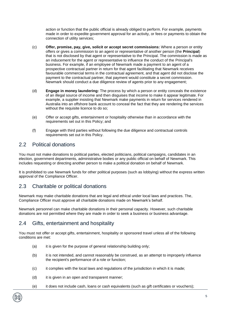action or function that the public official is already obliged to perform. For example, payments made in order to expedite government approval for an activity, or fees or payments to obtain the connection of utility services;

- (c) **Offer, promise, pay, give, solicit or accept secret commissions:** Where a person or entity offers or gives a commission to an agent or representative of another person (the **Principal**) that is not disclosed by that agent or representative to the Principal. The commission is made as an inducement for the agent or representative to influence the conduct of the Principal's business. For example, if an employee of Newmark made a payment to an agent of a prospective contractual partner in return for that agent facilitating that Newmark receives favourable commercial terms in the contractual agreement, and that agent did not disclose the payment to the contractual partner, that payment would constitute a secret commission. Newmark should conduct a due diligence review of agents prior to any engagement;
- (d) **Engage in money laundering:** The process by which a person or entity conceals the existence of an illegal source of income and then disguises that income to make it appear legitimate. For example, a supplier insisting that Newmark make payments in return for services rendered in Australia into an offshore bank account to conceal the fact that they are rendering the services without the requisite licence to do so;
- (e) Offer or accept gifts, entertainment or hospitality otherwise than in accordance with the requirements set out in this Policy; and
- (f) Engage with third parties without following the due diligence and contractual controls requirements set out in this Policy.

#### <span id="page-4-0"></span>2.2 Political donations

You must not make donations to political parties, elected politicians, political campaigns, candidates in an election, government departments, administrative bodies or any public official on behalf of Newmark. This includes requesting or directing another person to make a political donation on behalf of Newmark.

It is prohibited to use Newmark funds for other political purposes (such as lobbying) without the express written approval of the Compliance Officer.

### <span id="page-4-1"></span>2.3 Charitable or political donations

Newmark may make charitable donations that are legal and ethical under local laws and practices. The, Compliance Officer must approve all charitable donations made on Newmark's behalf.

Newmark personnel can make charitable donations in their personal capacity. However, such charitable donations are not permitted where they are made in order to seek a business or business advantage.

#### <span id="page-4-2"></span>2.4 Gifts, entertainment and hospitality

You must not offer or accept gifts, entertainment, hospitality or sponsored travel unless all of the following conditions are met:

- (a) it is given for the purpose of general relationship building only;
- (b) it is not intended, and cannot reasonably be construed, as an attempt to improperly influence the recipient's performance of a role or function;
- (c) it complies with the local laws and regulations of the jurisdiction in which it is made;
- (d) it is given in an open and transparent manner;
- (e) it does not include cash, loans or cash equivalents (such as gift certificates or vouchers);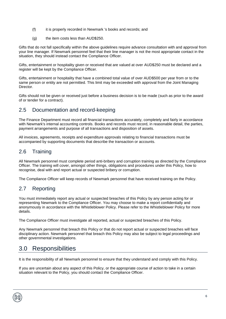- (f) it is properly recorded in Newmark 's books and records; and
- (g) the item costs less than AUD\$250.

Gifts that do not fall specifically within the above guidelines require advance consultation with and approval from your line manager. If Newmark personnel feel that their line manager is not the most appropriate contact in the situation, they should instead contact the Compliance Officer.

Gifts, entertainment or hospitality given or received that are valued at over AUD\$250 must be declared and a register will be kept by the Compliance Officer.

Gifts, entertainment or hospitality that have a combined total value of over AUD\$500 per year from or to the same person or entity are not permitted. This limit may be exceeded with approval from the Joint Managing Director.

Gifts should not be given or received just before a business decision is to be made (such as prior to the award of or tender for a contract).

### <span id="page-5-0"></span>2.5 Documentation and record-keeping

The Finance Department must record all financial transactions accurately, completely and fairly in accordance with Newmark's internal accounting controls. Books and records must record, in reasonable detail, the parties, payment arrangements and purpose of all transactions and disposition of assets.

All invoices, agreements, receipts and expenditure approvals relating to financial transactions must be accompanied by supporting documents that describe the transaction or accounts.

### <span id="page-5-1"></span>2.6 Training

All Newmark personnel must complete period anti-bribery and corruption training as directed by the Compliance Officer. The training will cover, amongst other things, obligations and procedures under this Policy, how to recognise, deal with and report actual or suspected bribery or corruption.

The Compliance Officer will keep records of Newmark personnel that have received training on the Policy.

## <span id="page-5-2"></span>2.7 Reporting

You must immediately report any actual or suspected breaches of this Policy by any person acting for or representing Newmark to the Compliance Officer. You may choose to make a report confidentially and anonymously in accordance with the Whistleblower Policy. Please refer to the Whistleblower Policy for more details.

The Compliance Officer must investigate all reported, actual or suspected breaches of this Policy.

Any Newmark personnel that breach this Policy or that do not report actual or suspected breaches will face disciplinary action. Newmark personnel that breach this Policy may also be subject to legal proceedings and other governmental investigations.

## <span id="page-5-3"></span>3.0 Responsibilities

It is the responsibility of all Newmark personnel to ensure that they understand and comply with this Policy.

If you are uncertain about any aspect of this Policy, or the appropriate course of action to take in a certain situation relevant to the Policy, you should contact the Compliance Officer.

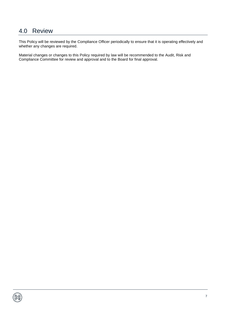## <span id="page-6-0"></span>4.0 Review

This Policy will be reviewed by the Compliance Officer periodically to ensure that it is operating effectively and whether any changes are required.

Material changes or changes to this Policy required by law will be recommended to the Audit, Risk and Compliance Committee for review and approval and to the Board for final approval.